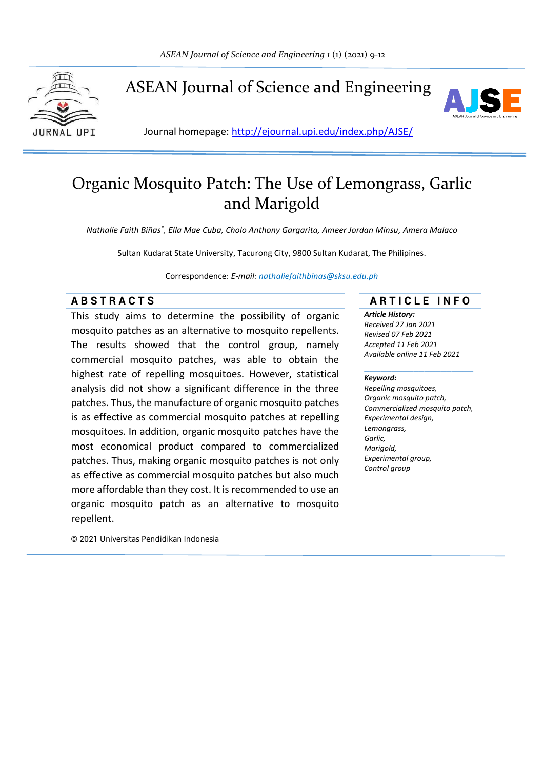

ASEAN Journal of Science and Engineering



Journal homepage: http://ejournal.upi.edu/index.php/AJSE/

# Organic Mosquito Patch: The Use of Lemongrass, Garlic and Marigold

*Nathalie Faith Biñas\* , Ella Mae Cuba, Cholo Anthony Gargarita, Ameer Jordan Minsu, Amera Malaco*

Sultan Kudarat State University, Tacurong City, 9800 Sultan Kudarat, The Philipines.

Correspondence: *E-mail: nathaliefaithbinas@sksu.edu.ph*

This study aims to determine the possibility of organic mosquito patches as an alternative to mosquito repellents. The results showed that the control group, namely commercial mosquito patches, was able to obtain the highest rate of repelling mosquitoes. However, statistical analysis did not show a significant difference in the three patches. Thus, the manufacture of organic mosquito patches is as effective as commercial mosquito patches at repelling mosquitoes. In addition, organic mosquito patches have the most economical product compared to commercialized patches. Thus, making organic mosquito patches is not only as effective as commercial mosquito patches but also much more affordable than they cost. It is recommended to use an organic mosquito patch as an alternative to mosquito repellent.

© 2021 Universitas Pendidikan Indonesia

# **A B S T R A C T S A R T I C L E I N F O**

*Article History: Received 27 Jan 2021 Revised 07 Feb 2021 Accepted 11 Feb 2021 Available online 11 Feb 2021*

#### *Keyword:*

*Repelling mosquitoes, Organic mosquito patch, Commercialized mosquito patch, Experimental design, Lemongrass, Garlic, Marigold, Experimental group, Control group*

\_\_\_\_\_\_\_\_\_\_\_\_\_\_\_\_\_\_\_\_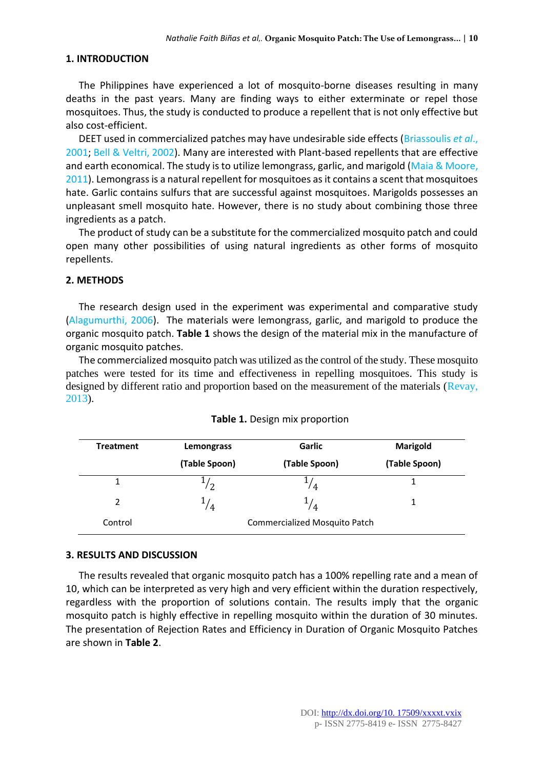# **1. INTRODUCTION**

The Philippines have experienced a lot of mosquito-borne diseases resulting in many deaths in the past years. Many are finding ways to either exterminate or repel those mosquitoes. Thus, the study is conducted to produce a repellent that is not only effective but also cost-efficient.

DEET used in commercialized patches may have undesirable side effects (Briassoulis *et al*., 2001; Bell & Veltri, 2002). Many are interested with Plant-based repellents that are effective and earth economical. The study is to utilize lemongrass, garlic, and marigold (Maia & Moore, 2011). Lemongrass is a natural repellent for mosquitoes as it contains a scent that mosquitoes hate. Garlic contains sulfurs that are successful against mosquitoes. Marigolds possesses an unpleasant smell mosquito hate. However, there is no study about combining those three ingredients as a patch.

The product of study can be a substitute for the commercialized mosquito patch and could open many other possibilities of using natural ingredients as other forms of mosquito repellents.

## **2. METHODS**

The research design used in the experiment was experimental and comparative study (Alagumurthi, 2006). The materials were lemongrass, garlic, and marigold to produce the organic mosquito patch. **Table 1** shows the design of the material mix in the manufacture of organic mosquito patches.

The commercialized mosquito patch was utilized as the control of the study. These mosquito patches were tested for its time and effectiveness in repelling mosquitoes. This study is designed by different ratio and proportion based on the measurement of the materials (Revay, 2013).

| <b>Treatment</b> | Lemongrass    | Garlic                        | Marigold      |  |
|------------------|---------------|-------------------------------|---------------|--|
|                  | (Table Spoon) | (Table Spoon)                 | (Table Spoon) |  |
|                  | /2            | 74                            |               |  |
| $\mathcal{P}$    | $^{1/4}$      | $^{1/4}$                      | 1.            |  |
| Control          |               | Commercialized Mosquito Patch |               |  |

|  |  | Table 1. Design mix proportion |  |  |  |
|--|--|--------------------------------|--|--|--|
|--|--|--------------------------------|--|--|--|

#### **3. RESULTS AND DISCUSSION**

The results revealed that organic mosquito patch has a 100% repelling rate and a mean of 10, which can be interpreted as very high and very efficient within the duration respectively, regardless with the proportion of solutions contain. The results imply that the organic mosquito patch is highly effective in repelling mosquito within the duration of 30 minutes. The presentation of Rejection Rates and Efficiency in Duration of Organic Mosquito Patches are shown in **Table 2**.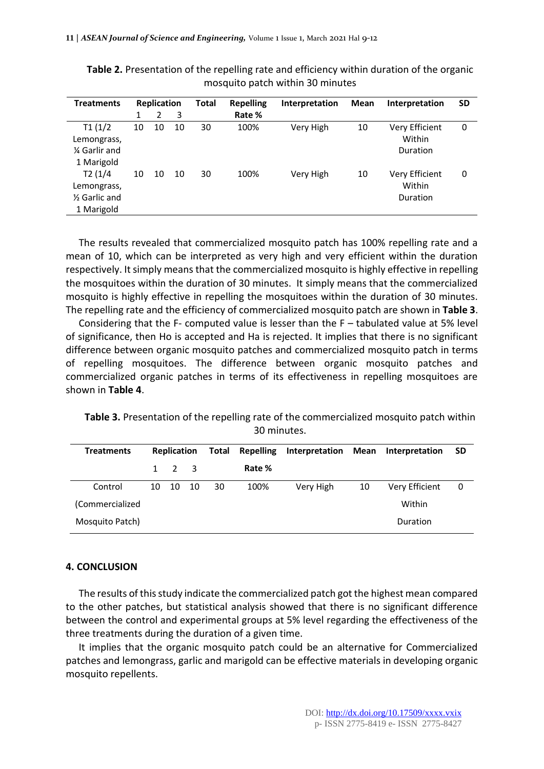| <b>Treatments</b>          | <b>Replication</b> |    | <b>Total</b> | <b>Repelling</b> | <b>Interpretation</b> | Mean      | Interpretation | <b>SD</b>             |   |
|----------------------------|--------------------|----|--------------|------------------|-----------------------|-----------|----------------|-----------------------|---|
|                            |                    | 2  | 3            |                  | Rate %                |           |                |                       |   |
| T1(1/2)                    | 10                 | 10 | 10           | 30               | 100%                  | Very High | 10             | <b>Very Efficient</b> | 0 |
| Lemongrass,                |                    |    |              |                  |                       |           |                | Within                |   |
| 1⁄4 Garlir and             |                    |    |              |                  |                       |           |                | Duration              |   |
| 1 Marigold                 |                    |    |              |                  |                       |           |                |                       |   |
| T2(1/4)                    | 10                 | 10 | 10           | 30               | 100%                  | Very High | 10             | Very Efficient        | 0 |
| Lemongrass,                |                    |    |              |                  |                       |           |                | Within                |   |
| 1/ <sub>2</sub> Garlic and |                    |    |              |                  |                       |           |                | Duration              |   |
| 1 Marigold                 |                    |    |              |                  |                       |           |                |                       |   |

**Table 2.** Presentation of the repelling rate and efficiency within duration of the organic mosquito patch within 30 minutes

The results revealed that commercialized mosquito patch has 100% repelling rate and a mean of 10, which can be interpreted as very high and very efficient within the duration respectively. It simply means that the commercialized mosquito is highly effective in repelling the mosquitoes within the duration of 30 minutes. It simply means that the commercialized mosquito is highly effective in repelling the mosquitoes within the duration of 30 minutes. The repelling rate and the efficiency of commercialized mosquito patch are shown in **Table 3**.

Considering that the F- computed value is lesser than the F – tabulated value at 5% level of significance, then Ho is accepted and Ha is rejected. It implies that there is no significant difference between organic mosquito patches and commercialized mosquito patch in terms of repelling mosquitoes. The difference between organic mosquito patches and commercialized organic patches in terms of its effectiveness in repelling mosquitoes are shown in **Table 4**.

**Table 3.** Presentation of the repelling rate of the commercialized mosquito patch within 30 minutes.

| <b>Treatments</b> | <b>Replication</b> |                     | Total |    | <b>Repelling</b> | Interpretation |        | Mean Interpretation |   |
|-------------------|--------------------|---------------------|-------|----|------------------|----------------|--------|---------------------|---|
|                   |                    | $1 \quad 2 \quad 3$ |       |    | Rate %           |                |        |                     |   |
| Control           | 10                 | - 10                | - 10  | 30 | 100%             | Very High      | 10     | Very Efficient      | 0 |
| (Commercialized   |                    |                     |       |    |                  |                | Within |                     |   |
| Mosquito Patch)   |                    |                     |       |    |                  |                |        | Duration            |   |

# **4. CONCLUSION**

The results of this study indicate the commercialized patch got the highest mean compared to the other patches, but statistical analysis showed that there is no significant difference between the control and experimental groups at 5% level regarding the effectiveness of the three treatments during the duration of a given time.

It implies that the organic mosquito patch could be an alternative for Commercialized patches and lemongrass, garlic and marigold can be effective materials in developing organic mosquito repellents.